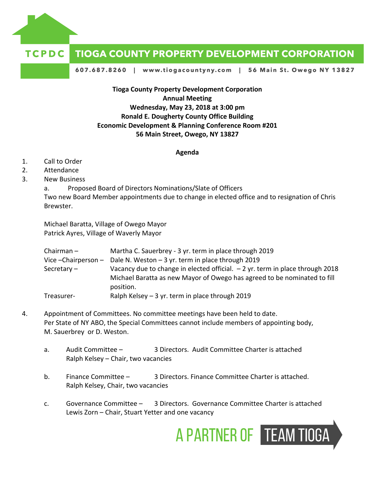

## **TCPDC TIOGA COUNTY PROPERTY DEVELOPMENT CORPORATION**

607.687.8260 | www.tiogacountyny.com | 56 Main St. Owego NY 13827

**Tioga County Property Development Corporation Annual Meeting Wednesday, May 23, 2018 at 3:00 pm Ronald E. Dougherty County Office Building Economic Development & Planning Conference Room #201 56 Main Street, Owego, NY 13827**

**Agenda**

- 1. Call to Order
- 2. Attendance
- 3. New Business

a. Proposed Board of Directors Nominations/Slate of Officers Two new Board Member appointments due to change in elected office and to resignation of Chris Brewster.

Michael Baratta, Village of Owego Mayor Patrick Ayres, Village of Waverly Mayor

| Chairman –  | Martha C. Sauerbrey - 3 yr. term in place through 2019                                                                                                                 |
|-------------|------------------------------------------------------------------------------------------------------------------------------------------------------------------------|
|             | Vice - Chairperson - Dale N. Weston - 3 yr. term in place through 2019                                                                                                 |
| Secretary – | Vacancy due to change in elected official. - 2 yr. term in place through 2018<br>Michael Baratta as new Mayor of Owego has agreed to be nominated to fill<br>position. |
| Treasurer-  | Ralph Kelsey - 3 yr. term in place through 2019                                                                                                                        |

- 4. Appointment of Committees. No committee meetings have been held to date. Per State of NY ABO, the Special Committees cannot include members of appointing body, M. Sauerbrey or D. Weston.
	- a. Audit Committee 3 Directors. Audit Committee Charter is attached Ralph Kelsey – Chair, two vacancies
	- b. Finance Committee 3 Directors. Finance Committee Charter is attached. Ralph Kelsey, Chair, two vacancies
	- c. Governance Committee 3 Directors. Governance Committee Charter is attached Lewis Zorn – Chair, Stuart Yetter and one vacancy